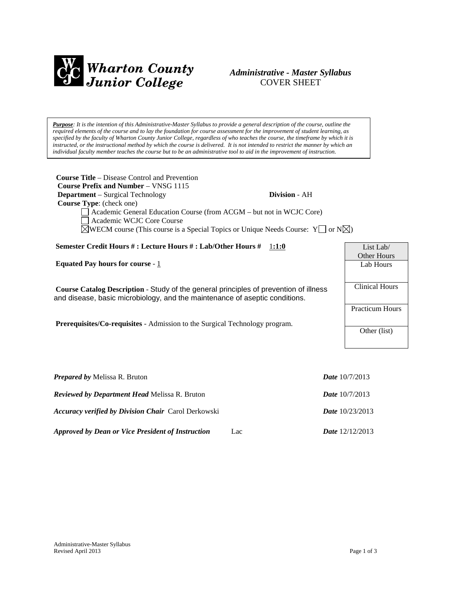

# *Administrative - Master Syllabus*  COVER SHEET

*Purpose: It is the intention of this Administrative-Master Syllabus to provide a general description of the course, outline the required elements of the course and to lay the foundation for course assessment for the improvement of student learning, as specified by the faculty of Wharton County Junior College, regardless of who teaches the course, the timeframe by which it is instructed, or the instructional method by which the course is delivered. It is not intended to restrict the manner by which an individual faculty member teaches the course but to be an administrative tool to aid in the improvement of instruction.*

| <b>Course Title</b> – Disease Control and Prevention<br><b>Course Prefix and Number – VNSG 1115</b><br><b>Department</b> – Surgical Technology<br><b>Course Type:</b> (check one)<br>Academic General Education Course (from ACGM - but not in WCJC Core)<br>Academic WCJC Core Course<br>$\triangle$ WECM course (This course is a Special Topics or Unique Needs Course: Y $\Box$ or N $\triangle$ ) | <b>Division - AH</b>                                            |
|--------------------------------------------------------------------------------------------------------------------------------------------------------------------------------------------------------------------------------------------------------------------------------------------------------------------------------------------------------------------------------------------------------|-----------------------------------------------------------------|
| Semester Credit Hours #: Lecture Hours #: Lab/Other Hours #<br>1:1:0                                                                                                                                                                                                                                                                                                                                   | List Lab/                                                       |
|                                                                                                                                                                                                                                                                                                                                                                                                        | Other Hours                                                     |
| Equated Pay hours for course - $1$                                                                                                                                                                                                                                                                                                                                                                     | Lab Hours                                                       |
| Course Catalog Description - Study of the general principles of prevention of illness<br>and disease, basic microbiology, and the maintenance of aseptic conditions.<br>Prerequisites/Co-requisites - Admission to the Surgical Technology program.                                                                                                                                                    | <b>Clinical Hours</b><br><b>Practicum Hours</b><br>Other (list) |
| <b>Prepared by Melissa R. Bruton</b><br>Reviewed by Department Head Melissa R. Bruton                                                                                                                                                                                                                                                                                                                  | <b>Date</b> 10/7/2013<br><b>Date</b> 10/7/2013                  |

*Accuracy verified by Division Chair* Carol Derkowski *Date* 10/23/2013

*Approved by Dean or Vice President of Instruction* Lac *Date* 12/12/2013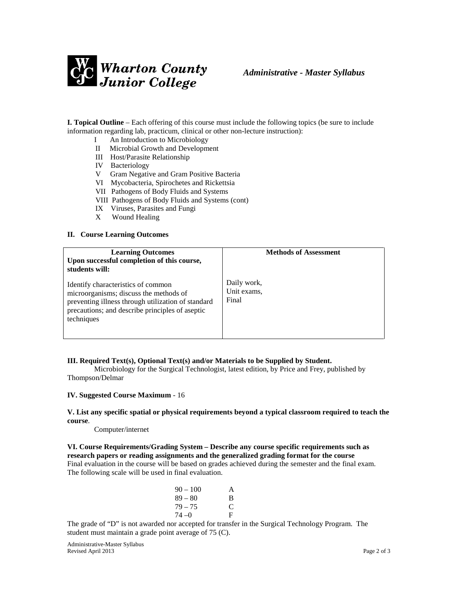

**I. Topical Outline** – Each offering of this course must include the following topics (be sure to include information regarding lab, practicum, clinical or other non-lecture instruction):

- I An Introduction to Microbiology
- II Microbial Growth and Development
- III Host/Parasite Relationship
- IV Bacteriology
- V Gram Negative and Gram Positive Bacteria
- VI Mycobacteria, Spirochetes and Rickettsia
- VII Pathogens of Body Fluids and Systems
- VIII Pathogens of Body Fluids and Systems (cont)
- IX Viruses, Parasites and Fungi
- X Wound Healing

#### **II. Course Learning Outcomes**

| <b>Learning Outcomes</b><br>Upon successful completion of this course,<br>students will:                                                                                                            | <b>Methods of Assessment</b>        |
|-----------------------------------------------------------------------------------------------------------------------------------------------------------------------------------------------------|-------------------------------------|
| Identify characteristics of common<br>microorganisms; discuss the methods of<br>preventing illness through utilization of standard<br>precautions; and describe principles of aseptic<br>techniques | Daily work,<br>Unit exams,<br>Final |

#### **III. Required Text(s), Optional Text(s) and/or Materials to be Supplied by Student.**

Microbiology for the Surgical Technologist, latest edition, by Price and Frey, published by Thompson/Delmar

#### **IV. Suggested Course Maximum** - 16

#### **V. List any specific spatial or physical requirements beyond a typical classroom required to teach the course**.

Computer/internet

**VI. Course Requirements/Grading System – Describe any course specific requirements such as research papers or reading assignments and the generalized grading format for the course** Final evaluation in the course will be based on grades achieved during the semester and the final exam. The following scale will be used in final evaluation.

| 90 – 100 | A |
|----------|---|
| 89 – 80  | B |
| 79 – 75  | C |
| 74 –0    | F |

The grade of "D" is not awarded nor accepted for transfer in the Surgical Technology Program. The student must maintain a grade point average of 75 (C).